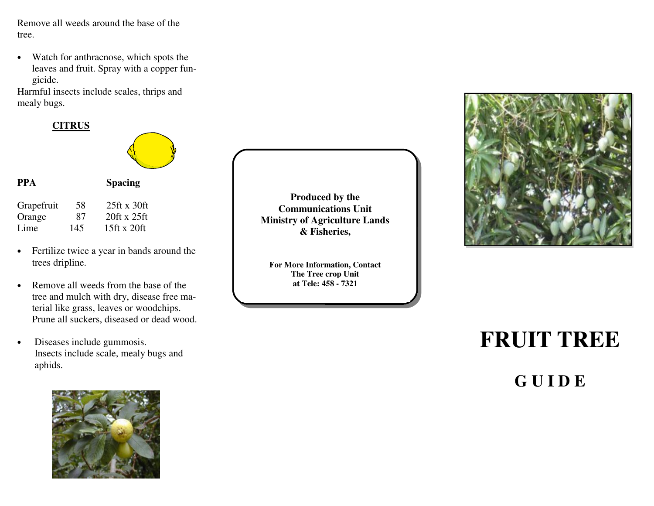Remove all weeds around the base of the tree.

• Watch for anthracnose, which spots the leaves and fruit. Spray with a copper fungicide.

 Harmful insects include scales, thrips and mealy bugs.

#### **CITRUS**



- Fertilize twice a year in bands around the trees dripline.
- Remove all weeds from the base of the tree and mulch with dry, disease free material like grass, leaves or woodchips. Prune all suckers, diseased or dead wood.
- Diseases include gummosis. Insects include scale, mealy bugs and aphids.



**Produced by the Communications Unit Ministry of Agriculture Lands & Fisheries,** 

**For More Information, Contact The Tree crop Unit at Tele: 458 - 7321** 



# **FRUIT TREE**

**G U I D E**